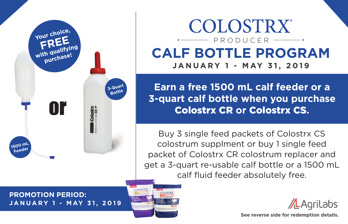

## **COLOSTRX** PRODUCER**CALF BOTTLE PROGRAM JANUARY 1 - MAY 31, 2019**

**Earn a free 1500 mL calf feeder or a 3-quart calf bottle when you purchase**  Colostrx CR **or** Colostrx CS**.**

Buy 3 single feed packets of Colostrx CS colostrum supplment or buy 1 single feed packet of Colostrx CR colostrum replacer and get a 3-quart re-usable calf bottle or a 1500 mL calf fluid feeder absolutely free.

**PROMOTION PERIOD: JANUARY 1 - MAY 31, 2019**



AL AgriLabs

**See reverse side for redemption details.**